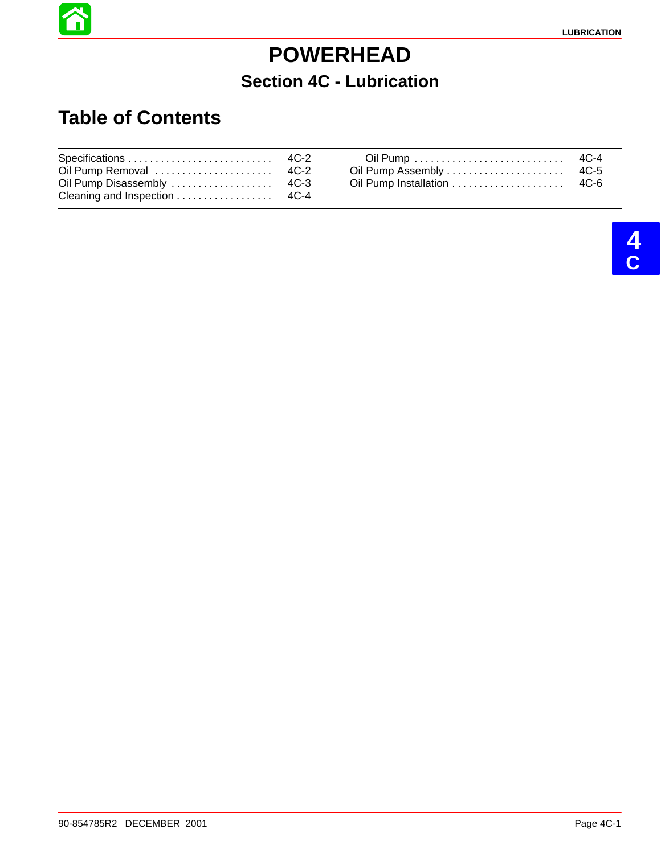## **POWERHEAD Section 4C - Lubrication**

#### **Table of Contents**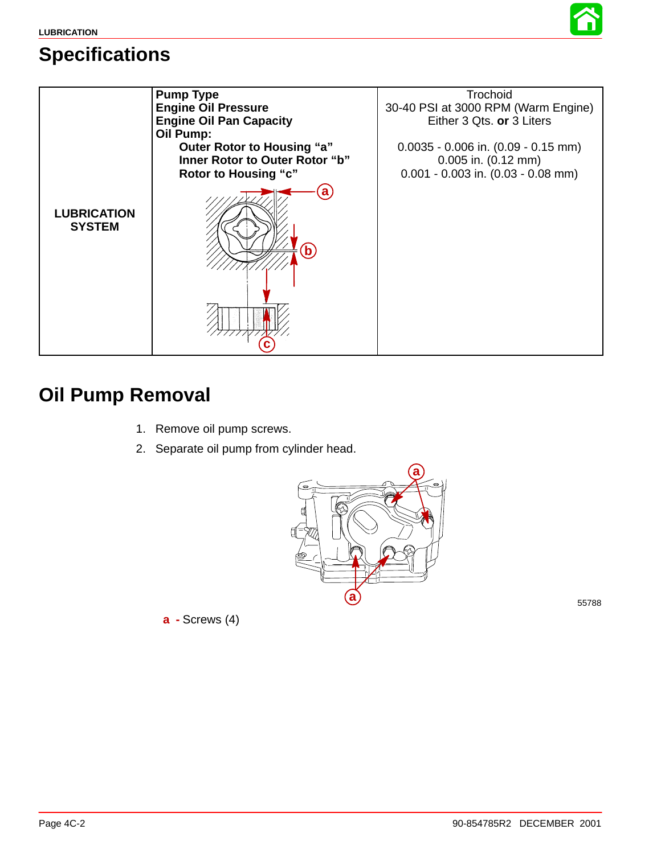





#### **Oil Pump Removal**

- 1. Remove oil pump screws.
- 2. Separate oil pump from cylinder head.



**a -** Screws (4)

55788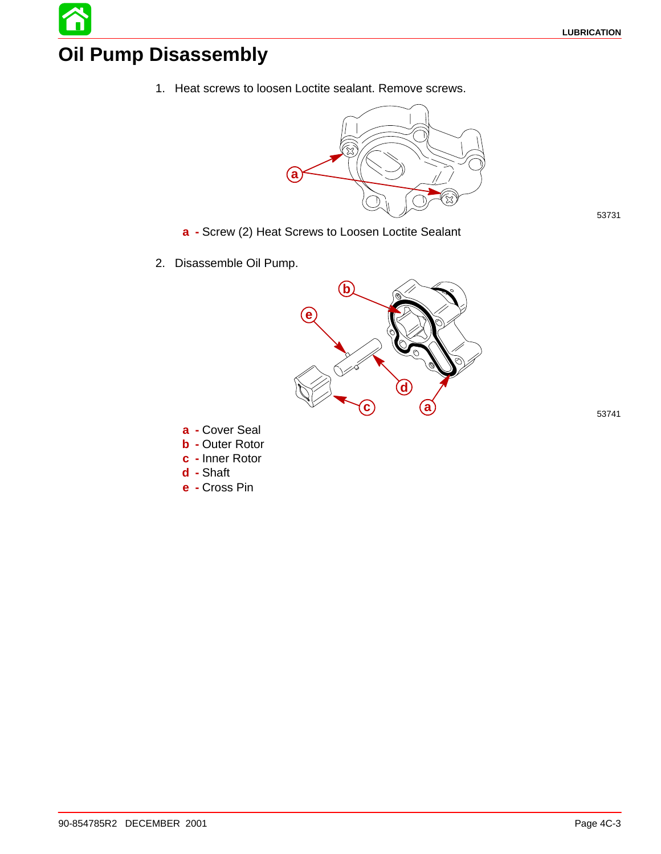# **Oil Pump Disassembly**

1. Heat screws to loosen Loctite sealant. Remove screws.



- **a -** Screw (2) Heat Screws to Loosen Loctite Sealant
- 2. Disassemble Oil Pump.



**a -** Cover Seal **b -** Outer Rotor

- **c -** Inner Rotor
- **d -** Shaft
- **e -** Cross Pin

53731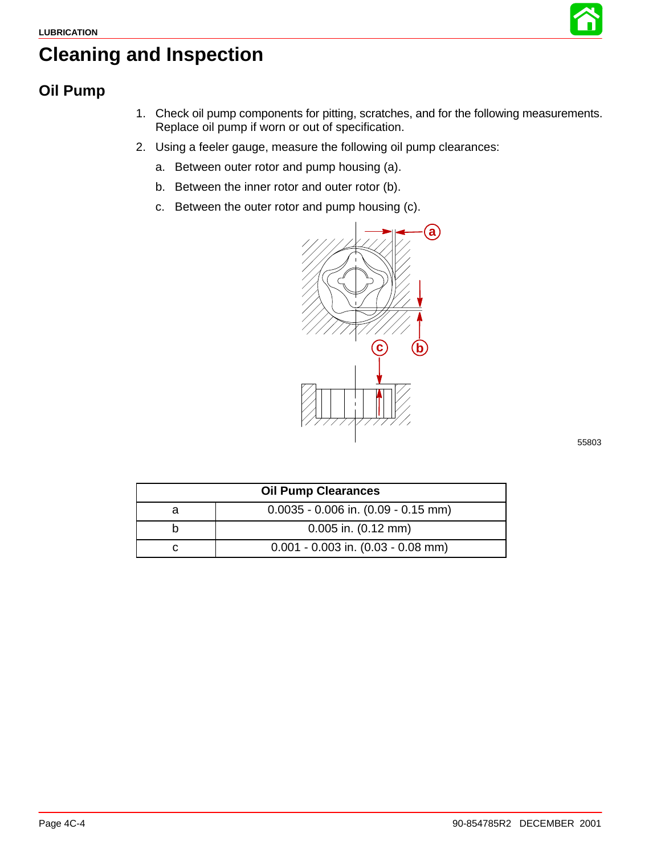

### <span id="page-3-0"></span>**Cleaning and Inspection**

#### **Oil Pump**

- 1. Check oil pump components for pitting, scratches, and for the following measurements. Replace oil pump if worn or out of specification.
- 2. Using a feeler gauge, measure the following oil pump clearances:
	- a. Between outer rotor and pump housing (a).
	- b. Between the inner rotor and outer rotor (b).
	- c. Between the outer rotor and pump housing (c).



55803

| <b>Oil Pump Clearances</b> |                                         |  |
|----------------------------|-----------------------------------------|--|
|                            | $0.0035 - 0.006$ in. $(0.09 - 0.15$ mm) |  |
|                            | $0.005$ in. $(0.12$ mm)                 |  |
|                            | $0.001 - 0.003$ in. $(0.03 - 0.08$ mm)  |  |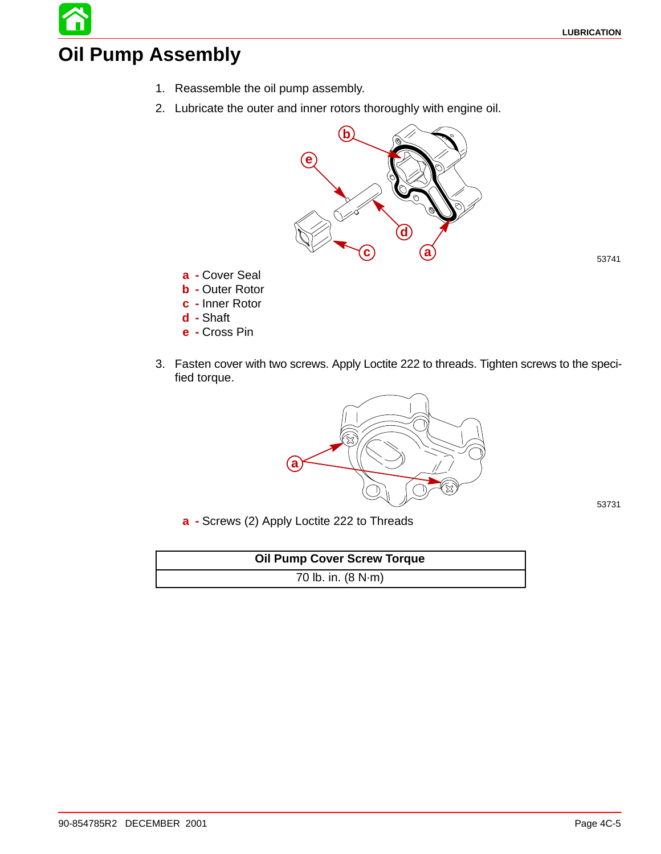### **Oil Pump Assembly**

- 1. Reassemble the oil pump assembly.
- 2. Lubricate the outer and inner rotors thoroughly with engine oil.



**a -** Cover Seal

- **b -** Outer Rotor
- **c -** Inner Rotor
- **d -** Shaft
- **e -** Cross Pin
- 3. Fasten cover with two screws. Apply Loctite 222 to threads. Tighten screws to the specified torque.



53731

**a -** Screws (2) Apply Loctite 222 to Threads

| <b>Oil Pump Cover Screw Torque</b> |
|------------------------------------|
| 70 lb. in. $(8 N·m)$               |